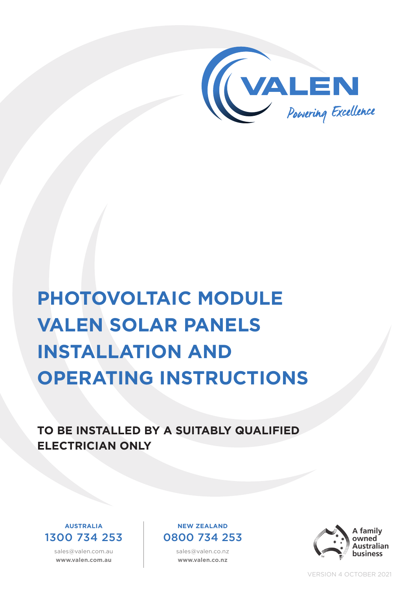

# **PHOTOVOLTAIC MODULE VALEN SOLAR PANELS INSTALLATION AND OPERATING INSTRUCTIONS**

**TO BE INSTALLED BY A SUITABLY QUALIFIED ELECTRICIAN ONLY**



sales@valen.com.au **www.valen.com.au**

#### **NEW ZEALAND** 0800 734 253

sales@valen.co.nz **www.valen.co.nz**



VERSION 4 OCTOBER 2021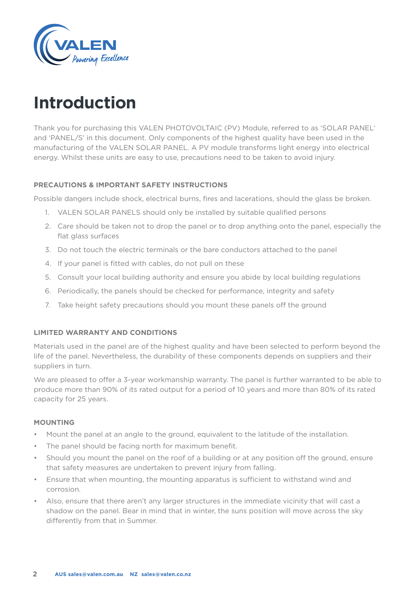

## **Introduction**

Thank you for purchasing this VALEN PHOTOVOLTAIC (PV) Module, referred to as 'SOLAR PANEL' and 'PANEL/S' in this document. Only components of the highest quality have been used in the manufacturing of the VALEN SOLAR PANEL. A PV module transforms light energy into electrical energy. Whilst these units are easy to use, precautions need to be taken to avoid injury.

#### **PRECAUTIONS & IMPORTANT SAFETY INSTRUCTIONS**

Possible dangers include shock, electrical burns, fires and lacerations, should the glass be broken.

- 1. VALEN SOLAR PANELS should only be installed by suitable qualified persons
- 2. Care should be taken not to drop the panel or to drop anything onto the panel, especially the flat glass surfaces
- 3. Do not touch the electric terminals or the bare conductors attached to the panel
- 4. If your panel is fitted with cables, do not pull on these
- 5. Consult your local building authority and ensure you abide by local building regulations
- 6. Periodically, the panels should be checked for performance, integrity and safety
- 7. Take height safety precautions should you mount these panels off the ground

#### **LIMITED WARRANTY AND CONDITIONS**

Materials used in the panel are of the highest quality and have been selected to perform beyond the life of the panel. Nevertheless, the durability of these components depends on suppliers and their suppliers in turn.

We are pleased to offer a 3-year workmanship warranty. The panel is further warranted to be able to produce more than 90% of its rated output for a period of 10 years and more than 80% of its rated capacity for 25 years.

#### **MOUNTING**

- Mount the panel at an angle to the ground, equivalent to the latitude of the installation.
- The panel should be facing north for maximum benefit.
- Should you mount the panel on the roof of a building or at any position off the ground, ensure that safety measures are undertaken to prevent injury from falling.
- Ensure that when mounting, the mounting apparatus is sufficient to withstand wind and corrosion.
- Also, ensure that there aren't any larger structures in the immediate vicinity that will cast a shadow on the panel. Bear in mind that in winter, the suns position will move across the sky differently from that in Summer.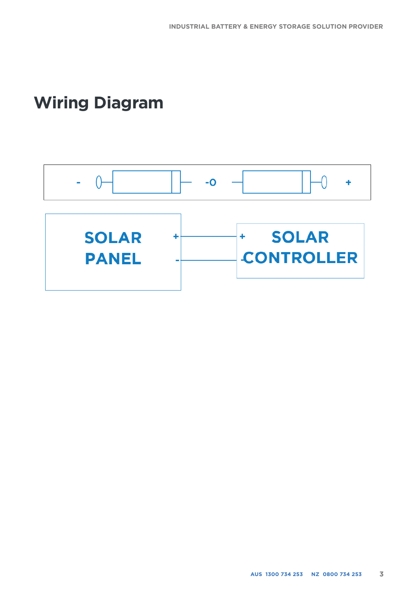## **Wiring Diagram**